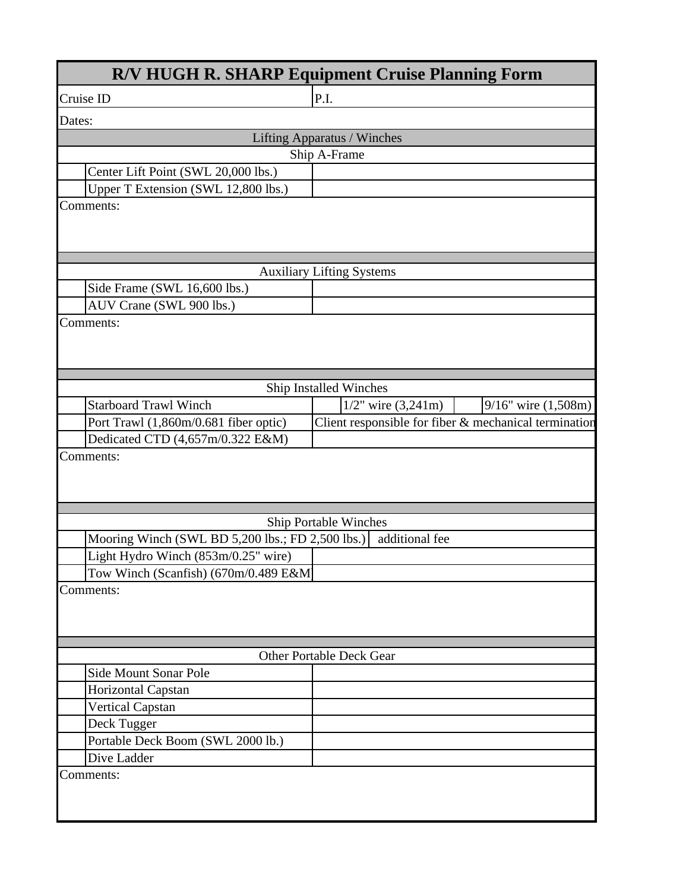| <b>R/V HUGH R. SHARP Equipment Cruise Planning Form</b> |                                                       |                          |
|---------------------------------------------------------|-------------------------------------------------------|--------------------------|
| Cruise ID                                               | P.I.                                                  |                          |
| Dates:                                                  |                                                       |                          |
|                                                         | <b>Lifting Apparatus / Winches</b>                    |                          |
|                                                         | Ship A-Frame                                          |                          |
| Center Lift Point (SWL 20,000 lbs.)                     |                                                       |                          |
| Upper T Extension (SWL 12,800 lbs.)                     |                                                       |                          |
| Comments:                                               |                                                       |                          |
|                                                         |                                                       |                          |
|                                                         |                                                       |                          |
|                                                         | <b>Auxiliary Lifting Systems</b>                      |                          |
| Side Frame (SWL 16,600 lbs.)                            |                                                       |                          |
| AUV Crane (SWL 900 lbs.)                                |                                                       |                          |
| Comments:                                               |                                                       |                          |
|                                                         |                                                       |                          |
|                                                         |                                                       |                          |
|                                                         |                                                       |                          |
|                                                         | Ship Installed Winches                                |                          |
| <b>Starboard Trawl Winch</b>                            | $1/2$ " wire $(3,241m)$                               | $9/16$ " wire $(1,508m)$ |
| Port Trawl (1,860m/0.681 fiber optic)                   | Client responsible for fiber & mechanical termination |                          |
| Dedicated CTD (4,657m/0.322 E&M)                        |                                                       |                          |
| Comments:                                               |                                                       |                          |
|                                                         |                                                       |                          |
|                                                         |                                                       |                          |
|                                                         |                                                       |                          |
|                                                         | <b>Ship Portable Winches</b>                          |                          |
| Mooring Winch (SWL BD 5,200 lbs.; FD 2,500 lbs.)        | additional fee                                        |                          |
| Light Hydro Winch (853m/0.25" wire)                     |                                                       |                          |
| Tow Winch (Scanfish) (670m/0.489 E&M)                   |                                                       |                          |
| Comments:                                               |                                                       |                          |
|                                                         |                                                       |                          |
|                                                         |                                                       |                          |
|                                                         |                                                       |                          |
|                                                         | Other Portable Deck Gear                              |                          |
| Side Mount Sonar Pole                                   |                                                       |                          |
| Horizontal Capstan                                      |                                                       |                          |
| <b>Vertical Capstan</b>                                 |                                                       |                          |
| Deck Tugger                                             |                                                       |                          |
| Portable Deck Boom (SWL 2000 lb.)                       |                                                       |                          |
| Dive Ladder                                             |                                                       |                          |
| Comments:                                               |                                                       |                          |
|                                                         |                                                       |                          |
|                                                         |                                                       |                          |
|                                                         |                                                       |                          |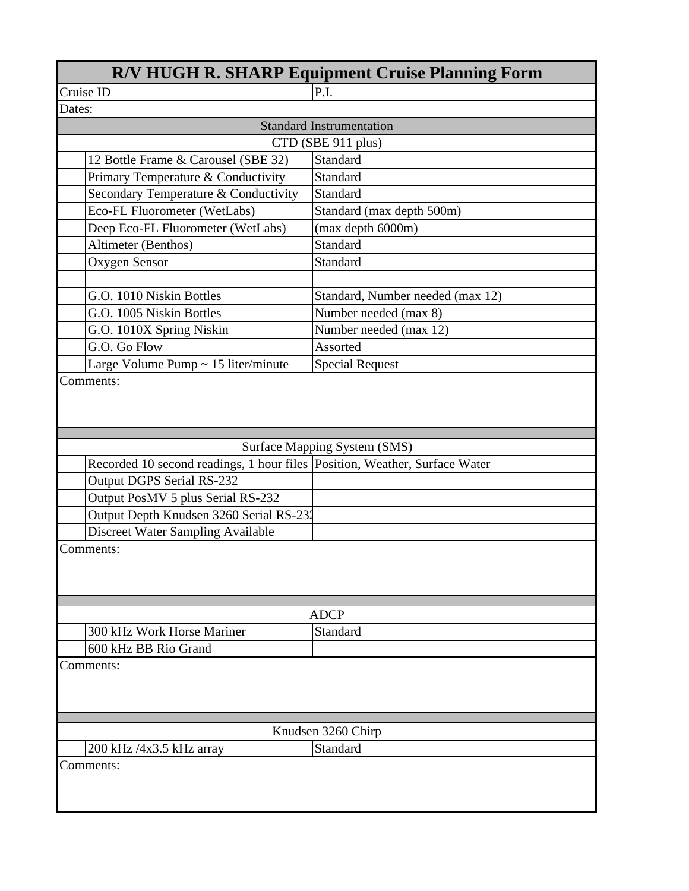| <b>R/V HUGH R. SHARP Equipment Cruise Planning Form</b>                    |                                  |
|----------------------------------------------------------------------------|----------------------------------|
| Cruise ID                                                                  | P.I.                             |
| Dates:                                                                     |                                  |
|                                                                            | <b>Standard Instrumentation</b>  |
|                                                                            | CTD (SBE 911 plus)               |
| 12 Bottle Frame & Carousel (SBE 32)                                        | Standard                         |
| Primary Temperature & Conductivity                                         | <b>Standard</b>                  |
| Secondary Temperature & Conductivity                                       | Standard                         |
| Eco-FL Fluorometer (WetLabs)                                               | Standard (max depth 500m)        |
| Deep Eco-FL Fluorometer (WetLabs)                                          | (max depth 6000m)                |
| Altimeter (Benthos)                                                        | Standard                         |
| Oxygen Sensor                                                              | Standard                         |
|                                                                            |                                  |
| G.O. 1010 Niskin Bottles                                                   | Standard, Number needed (max 12) |
| G.O. 1005 Niskin Bottles                                                   | Number needed (max 8)            |
| G.O. 1010X Spring Niskin                                                   | Number needed (max 12)           |
| G.O. Go Flow                                                               | Assorted                         |
| Large Volume Pump ~ 15 liter/minute                                        | <b>Special Request</b>           |
|                                                                            |                                  |
|                                                                            | Surface Mapping System (SMS)     |
| Recorded 10 second readings, 1 hour files Position, Weather, Surface Water |                                  |
| <b>Output DGPS Serial RS-232</b>                                           |                                  |
| Output PosMV 5 plus Serial RS-232                                          |                                  |
| Output Depth Knudsen 3260 Serial RS-232                                    |                                  |
| Discreet Water Sampling Available                                          |                                  |
| Comments:                                                                  |                                  |
|                                                                            | <b>ADCP</b>                      |
| 300 kHz Work Horse Mariner                                                 | Standard                         |
| 600 kHz BB Rio Grand                                                       |                                  |
| Comments:                                                                  |                                  |
|                                                                            |                                  |
| 200 kHz /4x3.5 kHz array                                                   | Knudsen 3260 Chirp<br>Standard   |
| Comments:                                                                  |                                  |
|                                                                            |                                  |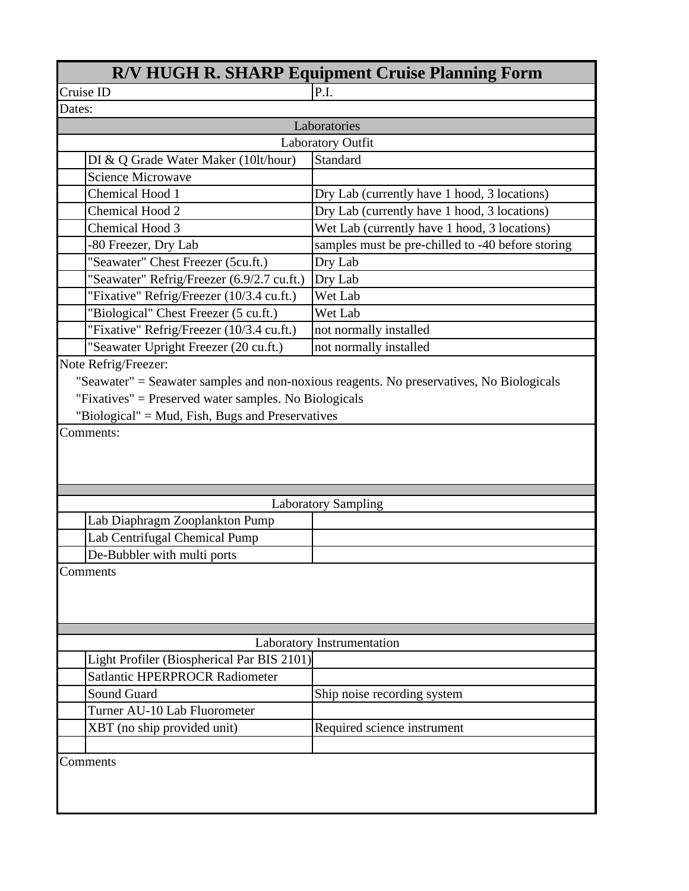| <b>R/V HUGH R. SHARP Equipment Cruise Planning Form</b> |                                                                                          |  |
|---------------------------------------------------------|------------------------------------------------------------------------------------------|--|
| Cruise ID                                               | P.I.                                                                                     |  |
| Dates:                                                  |                                                                                          |  |
|                                                         | Laboratories                                                                             |  |
|                                                         | <b>Laboratory Outfit</b>                                                                 |  |
| DI & Q Grade Water Maker (10lt/hour)                    | Standard                                                                                 |  |
| <b>Science Microwave</b>                                |                                                                                          |  |
| Chemical Hood 1                                         | Dry Lab (currently have 1 hood, 3 locations)                                             |  |
| Chemical Hood 2                                         | Dry Lab (currently have 1 hood, 3 locations)                                             |  |
| Chemical Hood 3                                         | Wet Lab (currently have 1 hood, 3 locations)                                             |  |
| -80 Freezer, Dry Lab                                    | samples must be pre-chilled to -40 before storing                                        |  |
| "Seawater" Chest Freezer (5cu.ft.)                      | Dry Lab                                                                                  |  |
| "Seawater" Refrig/Freezer (6.9/2.7 cu.ft.)              | Dry Lab                                                                                  |  |
| "Fixative" Refrig/Freezer (10/3.4 cu.ft.)               | Wet Lab                                                                                  |  |
| "Biological" Chest Freezer (5 cu.ft.)                   | Wet Lab                                                                                  |  |
| "Fixative" Refrig/Freezer (10/3.4 cu.ft.)               | not normally installed                                                                   |  |
| "Seawater Upright Freezer (20 cu.ft.)                   | not normally installed                                                                   |  |
| Note Refrig/Freezer:                                    |                                                                                          |  |
|                                                         | "Seawater" = Seawater samples and non-noxious reagents. No preservatives, No Biologicals |  |
| "Fixatives" = Preserved water samples. No Biologicals   |                                                                                          |  |
| "Biological" = Mud, Fish, Bugs and Preservatives        |                                                                                          |  |
| Comments:                                               |                                                                                          |  |
|                                                         |                                                                                          |  |
|                                                         |                                                                                          |  |
|                                                         |                                                                                          |  |
|                                                         | <b>Laboratory Sampling</b>                                                               |  |
| Lab Diaphragm Zooplankton Pump                          |                                                                                          |  |
| Lab Centrifugal Chemical Pump                           |                                                                                          |  |
| De-Bubbler with multi ports                             |                                                                                          |  |
| Comments                                                |                                                                                          |  |
|                                                         |                                                                                          |  |
|                                                         |                                                                                          |  |
|                                                         |                                                                                          |  |
|                                                         |                                                                                          |  |
|                                                         |                                                                                          |  |
| Laboratory Instrumentation                              |                                                                                          |  |
| Light Profiler (Biospherical Par BIS 2101)              |                                                                                          |  |
| <b>Satlantic HPERPROCR Radiometer</b>                   |                                                                                          |  |
| <b>Sound Guard</b>                                      | Ship noise recording system                                                              |  |
| Turner AU-10 Lab Fluorometer                            |                                                                                          |  |
| XBT (no ship provided unit)                             | Required science instrument                                                              |  |
|                                                         |                                                                                          |  |
| Comments                                                |                                                                                          |  |
|                                                         |                                                                                          |  |
|                                                         |                                                                                          |  |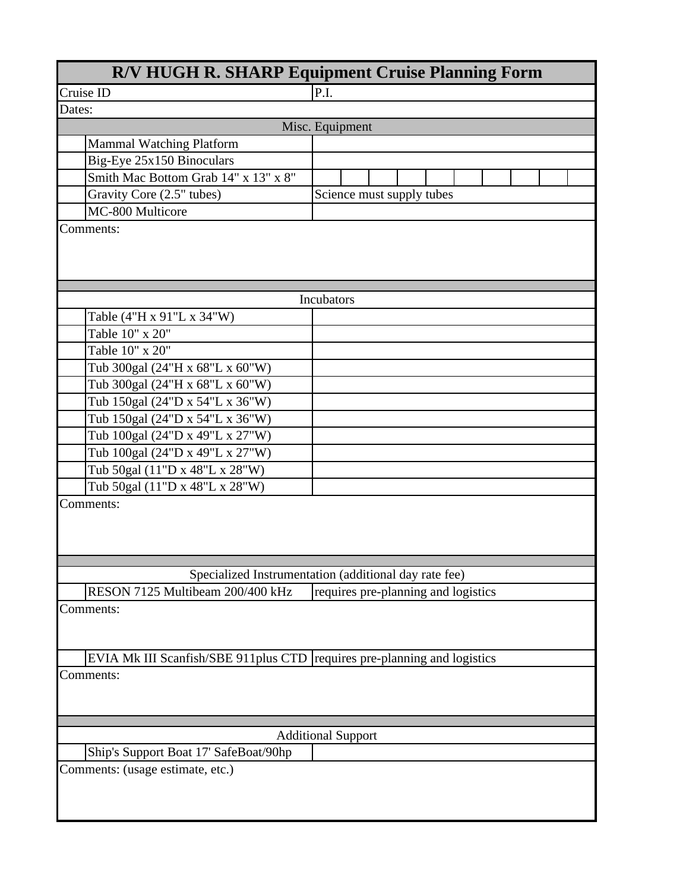| <b>R/V HUGH R. SHARP Equipment Cruise Planning Form</b>                  |                                                       |  |
|--------------------------------------------------------------------------|-------------------------------------------------------|--|
| Cruise ID                                                                | P.I.                                                  |  |
| Dates:                                                                   |                                                       |  |
|                                                                          | Misc. Equipment                                       |  |
| <b>Mammal Watching Platform</b>                                          |                                                       |  |
| Big-Eye 25x150 Binoculars                                                |                                                       |  |
| Smith Mac Bottom Grab 14" x 13" x 8"                                     |                                                       |  |
| Gravity Core (2.5" tubes)                                                | Science must supply tubes                             |  |
| MC-800 Multicore                                                         |                                                       |  |
| Comments:                                                                |                                                       |  |
|                                                                          |                                                       |  |
|                                                                          |                                                       |  |
|                                                                          | Incubators                                            |  |
| Table (4"H x 91"L x 34"W)                                                |                                                       |  |
| Table 10" x 20"                                                          |                                                       |  |
| Table 10" x 20"                                                          |                                                       |  |
| Tub 300gal (24"H x 68"L x 60"W)                                          |                                                       |  |
| Tub 300gal (24"H x 68"L x 60"W)                                          |                                                       |  |
|                                                                          |                                                       |  |
| Tub 150gal (24"D x 54"L x 36"W)                                          |                                                       |  |
| Tub 150gal (24"D x 54"L x 36"W)                                          |                                                       |  |
| Tub 100gal (24"D x 49"L x 27"W)                                          |                                                       |  |
| Tub 100gal (24"D x 49"L x 27"W)                                          |                                                       |  |
| Tub 50gal (11"D x 48"L x 28"W)                                           |                                                       |  |
| Tub 50gal (11"D x 48"L x 28"W)                                           |                                                       |  |
| Comments:                                                                |                                                       |  |
|                                                                          |                                                       |  |
|                                                                          |                                                       |  |
|                                                                          |                                                       |  |
|                                                                          | Specialized Instrumentation (additional day rate fee) |  |
| RESON 7125 Multibeam 200/400 kHz                                         | requires pre-planning and logistics                   |  |
| Comments:                                                                |                                                       |  |
|                                                                          |                                                       |  |
|                                                                          |                                                       |  |
| EVIA Mk III Scanfish/SBE 911plus CTD requires pre-planning and logistics |                                                       |  |
| Comments:                                                                |                                                       |  |
|                                                                          |                                                       |  |
|                                                                          |                                                       |  |
|                                                                          |                                                       |  |
|                                                                          | <b>Additional Support</b>                             |  |
| Ship's Support Boat 17' SafeBoat/90hp                                    |                                                       |  |
| Comments: (usage estimate, etc.)                                         |                                                       |  |
|                                                                          |                                                       |  |
|                                                                          |                                                       |  |